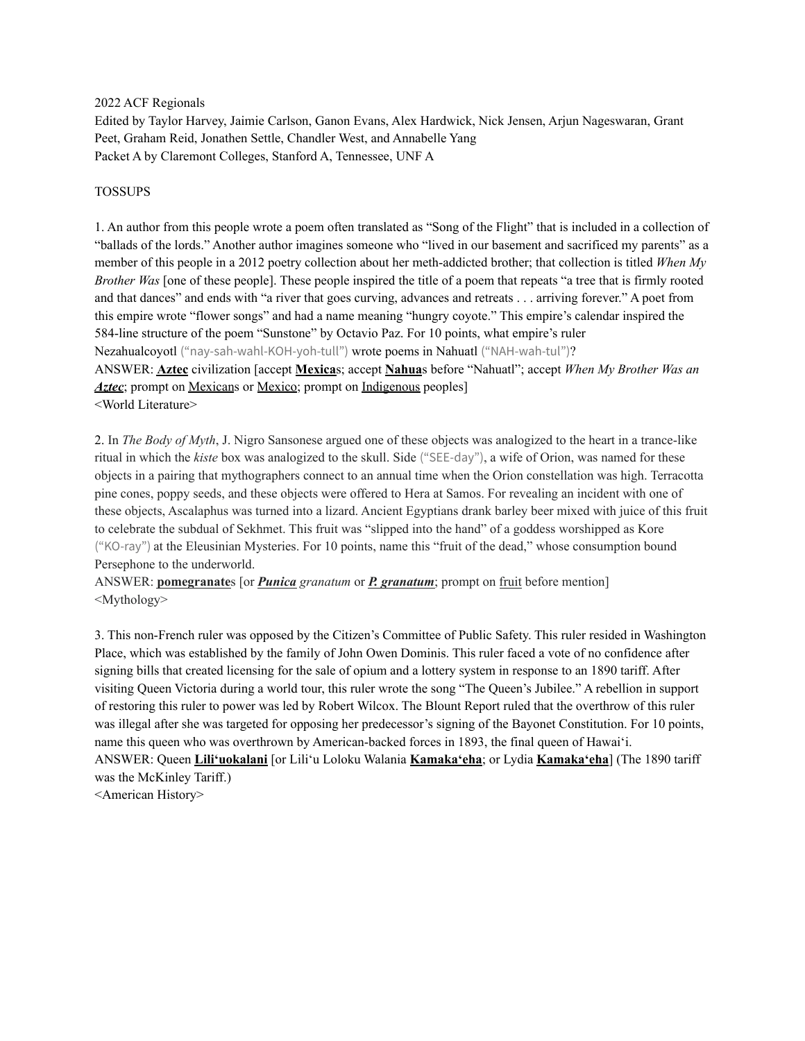#### 2022 ACF Regionals

Edited by Taylor Harvey, Jaimie Carlson, Ganon Evans, Alex Hardwick, Nick Jensen, Arjun Nageswaran, Grant Peet, Graham Reid, Jonathen Settle, Chandler West, and Annabelle Yang Packet A by Claremont Colleges, Stanford A, Tennessee, UNF A

### TOSSUPS

1. An author from this people wrote a poem often translated as "Song of the Flight" that is included in a collection of "ballads of the lords." Another author imagines someone who "lived in our basement and sacrificed my parents" as a member of this people in a 2012 poetry collection about her meth-addicted brother; that collection is titled *When My Brother Was* [one of these people]. These people inspired the title of a poem that repeats "a tree that is firmly rooted and that dances" and ends with "a river that goes curving, advances and retreats . . . arriving forever." A poet from this empire wrote "flower songs" and had a name meaning "hungry coyote." This empire's calendar inspired the 584-line structure of the poem "Sunstone" by Octavio Paz. For 10 points, what empire's ruler Nezahualcoyotl ("nay-sah-wahl-KOH-yoh-tull") wrote poems in Nahuatl ("NAH-wah-tul")? ANSWER: **Aztec** civilization [accept **Mexica**s; accept **Nahua**s before "Nahuatl"; accept *When My Brother Was an Aztec*; prompt on Mexicans or Mexico; prompt on Indigenous peoples <World Literature>

2. In *The Body of Myth*, J. Nigro Sansonese argued one of these objects was analogized to the heart in a trance-like ritual in which the *kiste* box was analogized to the skull. Side ("SEE-day"), a wife of Orion, was named for these objects in a pairing that mythographers connect to an annual time when the Orion constellation was high. Terracotta pine cones, poppy seeds, and these objects were offered to Hera at Samos. For revealing an incident with one of these objects, Ascalaphus was turned into a lizard. Ancient Egyptians drank barley beer mixed with juice of this fruit to celebrate the subdual of Sekhmet. This fruit was "slipped into the hand" of a goddess worshipped as Kore ("KO-ray") at the Eleusinian Mysteries. For 10 points, name this "fruit of the dead," whose consumption bound Persephone to the underworld.

ANSWER: **pomegranate**s [or *Punica granatum* or *P. granatum*; prompt on fruit before mention] <Mythology>

3. This non-French ruler was opposed by the Citizen's Committee of Public Safety. This ruler resided in Washington Place, which was established by the family of John Owen Dominis. This ruler faced a vote of no confidence after signing bills that created licensing for the sale of opium and a lottery system in response to an 1890 tariff. After visiting Queen Victoria during a world tour, this ruler wrote the song "The Queen's Jubilee." A rebellion in support of restoring this ruler to power was led by Robert Wilcox. The Blount Report ruled that the overthrow of this ruler was illegal after she was targeted for opposing her predecessor's signing of the Bayonet Constitution. For 10 points, name this queen who was overthrown by American-backed forces in 1893, the final queen of Hawaiʻi. ANSWER: Queen **Liliʻuokalani** [or Liliʻu Loloku Walania **Kamakaʻeha**; or Lydia **Kamakaʻeha**] (The 1890 tariff was the McKinley Tariff.)

<American History>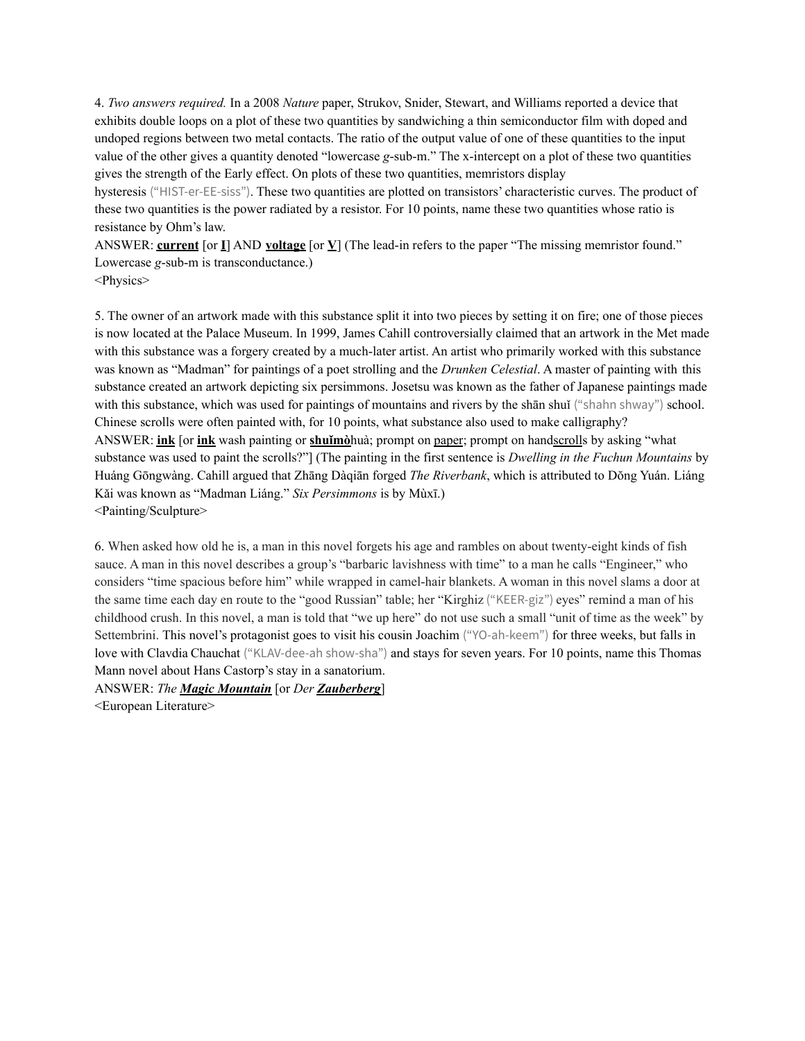4. *Two answers required.* In a 2008 *Nature* paper, Strukov, Snider, Stewart, and Williams reported a device that exhibits double loops on a plot of these two quantities by sandwiching a thin semiconductor film with doped and undoped regions between two metal contacts. The ratio of the output value of one of these quantities to the input value of the other gives a quantity denoted "lowercase *g*-sub-m." The x-intercept on a plot of these two quantities gives the strength of the Early effect. On plots of these two quantities, memristors display

hysteresis ("HIST-er-EE-siss"). These two quantities are plotted on transistors' characteristic curves. The product of these two quantities is the power radiated by a resistor. For 10 points, name these two quantities whose ratio is resistance by Ohm's law.

ANSWER: **current** [or **I**] AND **voltage** [or **V**] (The lead-in refers to the paper "The missing memristor found." Lowercase *g*-sub-m is transconductance.)

<Physics>

5. The owner of an artwork made with this substance split it into two pieces by setting it on fire; one of those pieces is now located at the Palace Museum. In 1999, James Cahill controversially claimed that an artwork in the Met made with this substance was a forgery created by a much-later artist. An artist who primarily worked with this substance was known as "Madman" for paintings of a poet strolling and the *Drunken Celestial*. A master of painting with this substance created an artwork depicting six persimmons. Josetsu was known as the father of Japanese paintings made with this substance, which was used for paintings of mountains and rivers by the shan shuǐ ("shahn shway") school. Chinese scrolls were often painted with, for 10 points, what substance also used to make calligraphy? ANSWER: **ink** [or **ink** wash painting or **shuǐmò**huà; prompt on paper; prompt on handscrolls by asking "what substance was used to paint the scrolls?"] (The painting in the first sentence is *Dwelling in the Fuchun Mountains* by Huáng Gōngwàng. Cahill argued that Zhāng Dàqiān forged *The Riverbank*, which is attributed to Dŏng Yuán. Liáng Kǎi was known as "Madman Liáng." *Six Persimmons* is by Mùxī.) <Painting/Sculpture>

6. When asked how old he is, a man in this novel forgets his age and rambles on about twenty-eight kinds of fish sauce. A man in this novel describes a group's "barbaric lavishness with time" to a man he calls "Engineer," who considers "time spacious before him" while wrapped in camel-hair blankets. A woman in this novel slams a door at the same time each day en route to the "good Russian" table; her "Kirghiz ("KEER-giz") eyes" remind a man of his childhood crush. In this novel, a man is told that "we up here" do not use such a small "unit of time as the week" by Settembrini. This novel's protagonist goes to visit his cousin Joachim ("YO-ah-keem") for three weeks, but falls in love with Clavdia Chauchat ("KLAV-dee-ah show-sha") and stays for seven years. For 10 points, name this Thomas Mann novel about Hans Castorp's stay in a sanatorium.

ANSWER: *The Magic Mountain* [or *Der Zauberberg*]

<European Literature>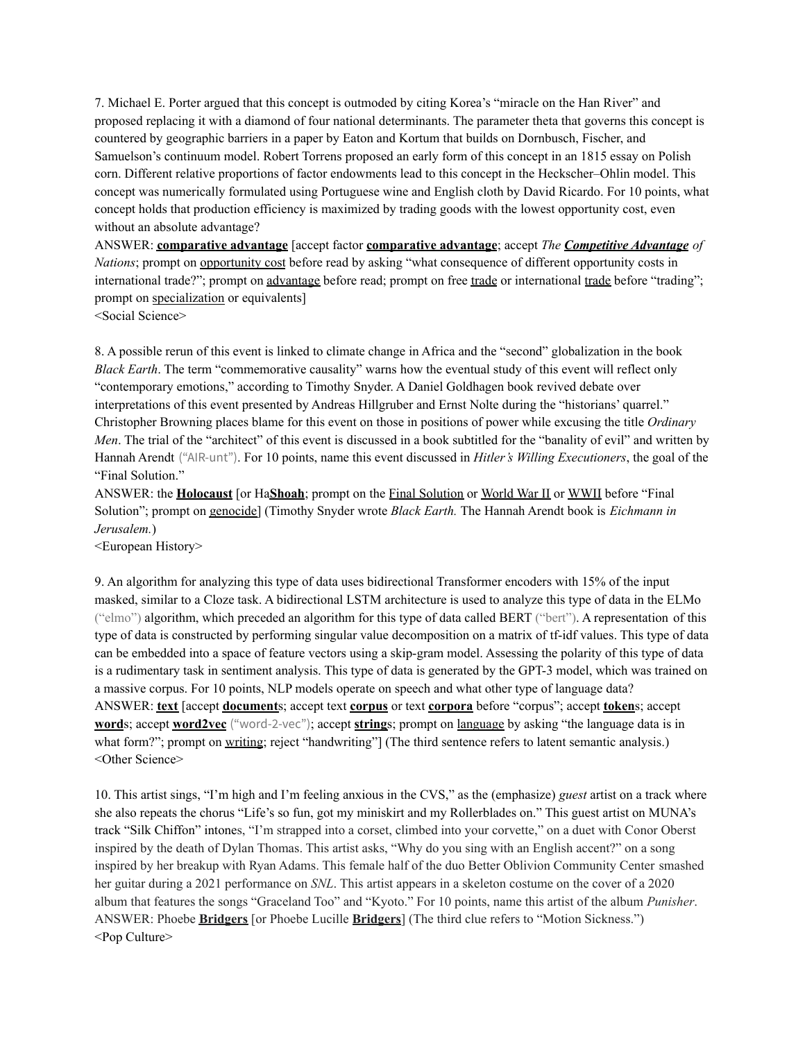7. Michael E. Porter argued that this concept is outmoded by citing Korea's "miracle on the Han River" and proposed replacing it with a diamond of four national determinants. The parameter theta that governs this concept is countered by geographic barriers in a paper by Eaton and Kortum that builds on Dornbusch, Fischer, and Samuelson's continuum model. Robert Torrens proposed an early form of this concept in an 1815 essay on Polish corn. Different relative proportions of factor endowments lead to this concept in the Heckscher–Ohlin model. This concept was numerically formulated using Portuguese wine and English cloth by David Ricardo. For 10 points, what concept holds that production efficiency is maximized by trading goods with the lowest opportunity cost, even without an absolute advantage?

ANSWER: **comparative advantage** [accept factor **comparative advantage**; accept *The Competitive Advantage of Nations*; prompt on opportunity cost before read by asking "what consequence of different opportunity costs in international trade?"; prompt on advantage before read; prompt on free trade or international trade before "trading"; prompt on specialization or equivalents]

<Social Science>

8. A possible rerun of this event is linked to climate change in Africa and the "second" globalization in the book *Black Earth*. The term "commemorative causality" warns how the eventual study of this event will reflect only "contemporary emotions," according to Timothy Snyder. A Daniel Goldhagen book revived debate over interpretations of this event presented by Andreas Hillgruber and Ernst Nolte during the "historians' quarrel." Christopher Browning places blame for this event on those in positions of power while excusing the title *Ordinary Men*. The trial of the "architect" of this event is discussed in a book subtitled for the "banality of evil" and written by Hannah Arendt ("AIR-unt"). For 10 points, name this event discussed in *Hitler's Willing Executioners*, the goal of the "Final Solution."

ANSWER: the **Holocaust** [or Ha**Shoah**; prompt on the Final Solution or World War II or WWII before "Final Solution"; prompt on genocide] (Timothy Snyder wrote *Black Earth.* The Hannah Arendt book is *Eichmann in Jerusalem.*)

<European History>

9. An algorithm for analyzing this type of data uses bidirectional Transformer encoders with 15% of the input masked, similar to a Cloze task. A bidirectional LSTM architecture is used to analyze this type of data in the ELMo ("elmo") algorithm, which preceded an algorithm for this type of data called BERT ("bert"). A representation of this type of data is constructed by performing singular value decomposition on a matrix of tf-idf values. This type of data can be embedded into a space of feature vectors using a skip-gram model. Assessing the polarity of this type of data is a rudimentary task in sentiment analysis. This type of data is generated by the GPT-3 model, which was trained on a massive corpus. For 10 points, NLP models operate on speech and what other type of language data? ANSWER: **text** [accept **document**s; accept text **corpus** or text **corpora** before "corpus"; accept **token**s; accept **word**s; accept **word2vec** ("word-2-vec"); accept **string**s; prompt on language by asking "the language data is in what form?"; prompt on writing; reject "handwriting"] (The third sentence refers to latent semantic analysis.) <Other Science>

10. This artist sings, "I'm high and I'm feeling anxious in the CVS," as the (emphasize) *guest* artist on a track where she also repeats the chorus "Life's so fun, got my miniskirt and my Rollerblades on." This guest artist on MUNA's track "Silk Chiffon" intones, "I'm strapped into a corset, climbed into your corvette," on a duet with Conor Oberst inspired by the death of Dylan Thomas. This artist asks, "Why do you sing with an English accent?" on a song inspired by her breakup with Ryan Adams. This female half of the duo Better Oblivion Community Center smashed her guitar during a 2021 performance on *SNL*. This artist appears in a skeleton costume on the cover of a 2020 album that features the songs "Graceland Too" and "Kyoto." For 10 points, name this artist of the album *Punisher*. ANSWER: Phoebe **Bridgers** [or Phoebe Lucille **Bridgers**] (The third clue refers to "Motion Sickness.") <Pop Culture>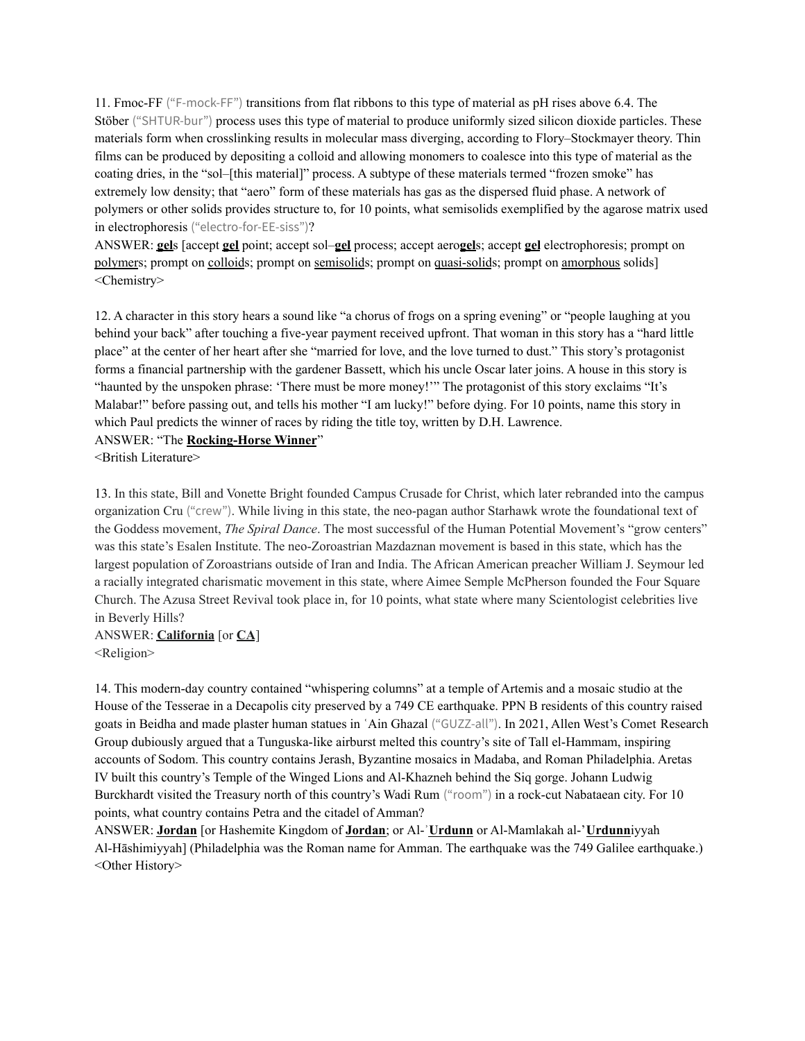11. Fmoc-FF ("F-mock-FF") transitions from flat ribbons to this type of material as pH rises above 6.4. The Stöber ("SHTUR-bur") process uses this type of material to produce uniformly sized silicon dioxide particles. These materials form when crosslinking results in molecular mass diverging, according to Flory–Stockmayer theory. Thin films can be produced by depositing a colloid and allowing monomers to coalesce into this type of material as the coating dries, in the "sol–[this material]" process. A subtype of these materials termed "frozen smoke" has extremely low density; that "aero" form of these materials has gas as the dispersed fluid phase. A network of polymers or other solids provides structure to, for 10 points, what semisolids exemplified by the agarose matrix used in electrophoresis ("electro-for-EE-siss")?

ANSWER: **gel**s [accept **gel** point; accept sol–**gel** process; accept aero**gel**s; accept **gel** electrophoresis; prompt on polymers; prompt on colloids; prompt on semisolids; prompt on quasi-solids; prompt on amorphous solids] <Chemistry>

12. A character in this story hears a sound like "a chorus of frogs on a spring evening" or "people laughing at you behind your back" after touching a five-year payment received upfront. That woman in this story has a "hard little place" at the center of her heart after she "married for love, and the love turned to dust." This story's protagonist forms a financial partnership with the gardener Bassett, which his uncle Oscar later joins. A house in this story is "haunted by the unspoken phrase: 'There must be more money!'" The protagonist of this story exclaims "It's Malabar!" before passing out, and tells his mother "I am lucky!" before dying. For 10 points, name this story in which Paul predicts the winner of races by riding the title toy, written by D.H. Lawrence.

ANSWER: "The **Rocking-Horse Winner**"

<British Literature>

13. In this state, Bill and Vonette Bright founded Campus Crusade for Christ, which later rebranded into the campus organization Cru ("crew"). While living in this state, the neo-pagan author Starhawk wrote the foundational text of the Goddess movement, *The Spiral Dance*. The most successful of the Human Potential Movement's "grow centers" was this state's Esalen Institute. The neo-Zoroastrian Mazdaznan movement is based in this state, which has the largest population of Zoroastrians outside of Iran and India. The African American preacher William J. Seymour led a racially integrated charismatic movement in this state, where Aimee Semple McPherson founded the Four Square Church. The Azusa Street Revival took place in, for 10 points, what state where many Scientologist celebrities live in Beverly Hills?

ANSWER: **California** [or **CA**] <Religion>

14. This modern-day country contained "whispering columns" at a temple of Artemis and a mosaic studio at the House of the Tesserae in a Decapolis city preserved by a 749 CE earthquake. PPN B residents of this country raised goats in Beidha and made plaster human statues in ʿAin Ghazal ("GUZZ-all"). In 2021, Allen West's Comet Research Group dubiously argued that a Tunguska-like airburst melted this country's site of Tall el-Hammam, inspiring accounts of Sodom. This country contains Jerash, Byzantine mosaics in Madaba, and Roman Philadelphia. Aretas IV built this country's Temple of the Winged Lions and Al-Khazneh behind the Siq gorge. Johann Ludwig Burckhardt visited the Treasury north of this country's Wadi Rum ("room") in a rock-cut Nabataean city. For 10 points, what country contains Petra and the citadel of Amman?

ANSWER: **Jordan** [or Hashemite Kingdom of **Jordan**; or Al-ʾ**Urdunn** or Al-Mamlakah al-'**Urdunn**iyyah Al-Hāshimiyyah] (Philadelphia was the Roman name for Amman. The earthquake was the 749 Galilee earthquake.) <Other History>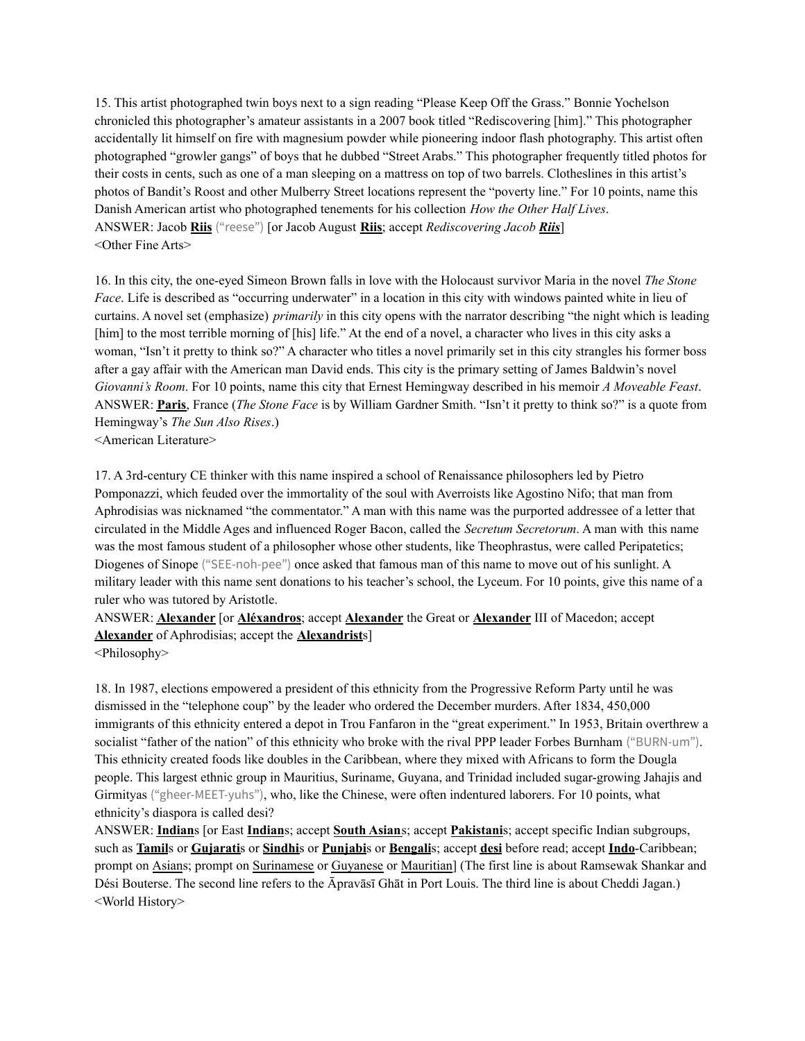15. This artist photographed twin boys next to a sign reading "Please Keep Off the Grass." Bonnie Yochelson chronicled this photographer's amateur assistants in a 2007 book titled "Rediscovering [him]." This photographer accidentally lit himself on fire with magnesium powder while pioneering indoor flash photography. This artist often photographed "growler gangs" of boys that he dubbed "Street Arabs." This photographer frequently titled photos for their costs in cents, such as one of a man sleeping on a mattress on top of two barrels. Clotheslines in this artist's photos of Bandit's Roost and other Mulberry Street locations represent the "poverty line." For 10 points, name this Danish American artist who photographed tenements for his collection *How the Other Half Lives*. ANSWER: Jacob **Riis** ("reese") [or Jacob August **Riis**; accept *Rediscovering Jacob Riis*] <Other Fine Arts>

16. In this city, the one-eyed Simeon Brown falls in love with the Holocaust survivor Maria in the novel *The Stone Face*. Life is described as "occurring underwater" in a location in this city with windows painted white in lieu of curtains. A novel set (emphasize) *primarily* in this city opens with the narrator describing "the night which is leading [him] to the most terrible morning of [his] life." At the end of a novel, a character who lives in this city asks a woman, "Isn't it pretty to think so?" A character who titles a novel primarily set in this city strangles his former boss after a gay affair with the American man David ends. This city is the primary setting of James Baldwin's novel *Giovanni's Room*. For 10 points, name this city that Ernest Hemingway described in his memoir *A Moveable Feast*. ANSWER: **Paris**, France (*The Stone Face* is by William Gardner Smith. "Isn't it pretty to think so?" is a quote from Hemingway's *The Sun Also Rises*.)

<American Literature>

17. A 3rd-century CE thinker with this name inspired a school of Renaissance philosophers led by Pietro Pomponazzi, which feuded over the immortality of the soul with Averroists like Agostino Nifo; that man from Aphrodisias was nicknamed "the commentator." A man with this name was the purported addressee of a letter that circulated in the Middle Ages and influenced Roger Bacon, called the *Secretum Secretorum*. A man with this name was the most famous student of a philosopher whose other students, like Theophrastus, were called Peripatetics; Diogenes of Sinope ("SEE-noh-pee") once asked that famous man of this name to move out of his sunlight. A military leader with this name sent donations to his teacher's school, the Lyceum. For 10 points, give this name of a ruler who was tutored by Aristotle.

ANSWER: **Alexander** [or **Aléxandros**; accept **Alexander** the Great or **Alexander** III of Macedon; accept **Alexander** of Aphrodisias; accept the **Alexandrist**s]

18. In 1987, elections empowered a president of this ethnicity from the Progressive Reform Party until he was dismissed in the "telephone coup" by the leader who ordered the December murders. After 1834, 450,000 immigrants of this ethnicity entered a depot in Trou Fanfaron in the "great experiment." In 1953, Britain overthrew a socialist "father of the nation" of this ethnicity who broke with the rival PPP leader Forbes Burnham ("BURN-um"). This ethnicity created foods like doubles in the Caribbean, where they mixed with Africans to form the Dougla people. This largest ethnic group in Mauritius, Suriname, Guyana, and Trinidad included sugar-growing Jahajis and Girmityas ("gheer-MEET-yuhs"), who, like the Chinese, were often indentured laborers. For 10 points, what ethnicity's diaspora is called desi?

ANSWER: **Indian**s [or East **Indian**s; accept **South Asian**s; accept **Pakistani**s; accept specific Indian subgroups, such as **Tamil**s or **Gujarati**s or **Sindhi**s or **Punjabi**s or **Bengali**s; accept **desi** before read; accept **Indo**-Caribbean; prompt on Asians; prompt on Surinamese or Guyanese or Mauritian] (The first line is about Ramsewak Shankar and Dési Bouterse. The second line refers to the Āpravāsī Ghāt in Port Louis. The third line is about Cheddi Jagan.) <World History>

<sup>&</sup>lt;Philosophy>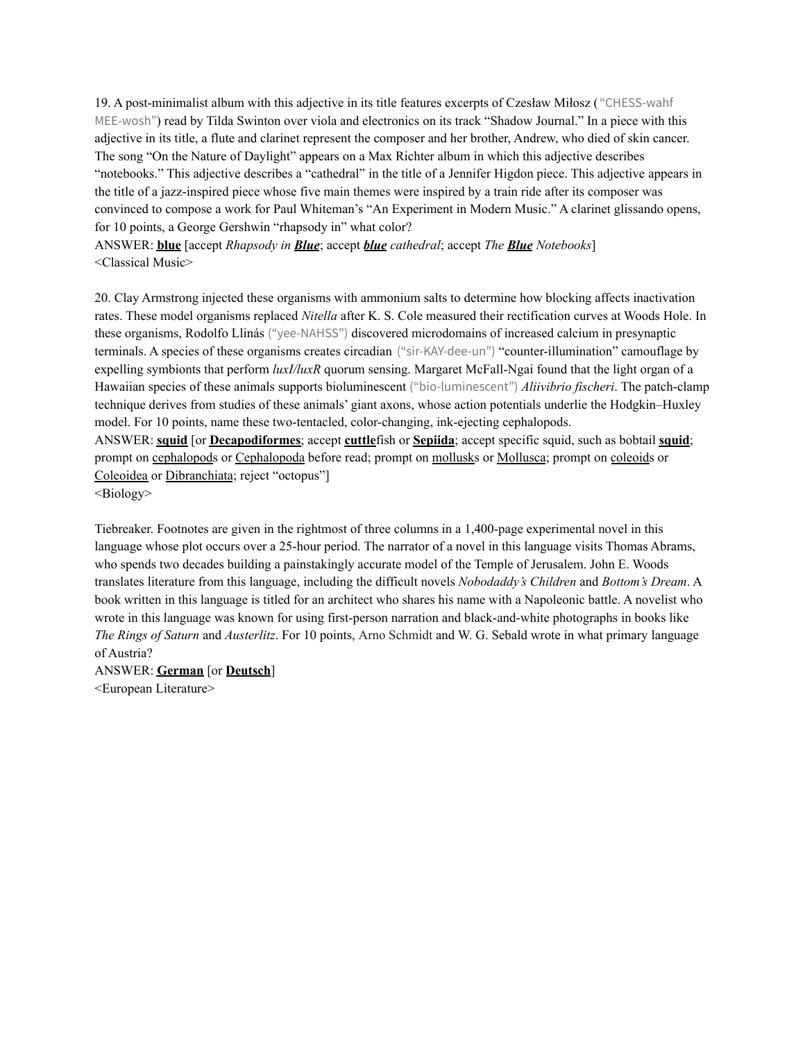19. A post-minimalist album with this adjective in its title features excerpts of Czesław Miłosz ( "CHESS-wahf MEE-wosh") read by Tilda Swinton over viola and electronics on its track "Shadow Journal." In a piece with this adjective in its title, a flute and clarinet represent the composer and her brother, Andrew, who died of skin cancer. The song "On the Nature of Daylight" appears on a Max Richter album in which this adjective describes "notebooks." This adjective describes a "cathedral" in the title of a Jennifer Higdon piece. This adjective appears in the title of a jazz-inspired piece whose five main themes were inspired by a train ride after its composer was convinced to compose a work for Paul Whiteman's "An Experiment in Modern Music." A clarinet glissando opens, for 10 points, a George Gershwin "rhapsody in" what color?

ANSWER: **blue** [accept *Rhapsody in Blue*; accept *blue cathedral*; accept *The Blue Notebooks*] <Classical Music>

20. Clay Armstrong injected these organisms with ammonium salts to determine how blocking affects inactivation rates. These model organisms replaced *Nitella* after K. S. Cole measured their rectification curves at Woods Hole. In these organisms, Rodolfo Llinás ("yee-NAHSS") discovered microdomains of increased calcium in presynaptic terminals. A species of these organisms creates circadian ("sir-KAY-dee-un") "counter-illumination" camouflage by expelling symbionts that perform *luxI/luxR* quorum sensing. Margaret McFall-Ngai found that the light organ of a Hawaiian species of these animals supports bioluminescent ("bio-luminescent") *Aliivibrio fischeri*. The patch-clamp technique derives from studies of these animals' giant axons, whose action potentials underlie the Hodgkin–Huxley model. For 10 points, name these two-tentacled, color-changing, ink-ejecting cephalopods.

ANSWER: **squid** [or **Decapodiformes**; accept **cuttle**fish or **Sepiida**; accept specific squid, such as bobtail **squid**; prompt on cephalopods or Cephalopoda before read; prompt on mollusks or Mollusca; prompt on coleoids or Coleoidea or Dibranchiata; reject "octopus"]

<Biology>

Tiebreaker. Footnotes are given in the rightmost of three columns in a 1,400-page experimental novel in this language whose plot occurs over a 25-hour period. The narrator of a novel in this language visits Thomas Abrams, who spends two decades building a painstakingly accurate model of the Temple of Jerusalem. John E. Woods translates literature from this language, including the difficult novels *Nobodaddy's Children* and *Bottom's Dream*. A book written in this language is titled for an architect who shares his name with a Napoleonic battle. A novelist who wrote in this language was known for using first-person narration and black-and-white photographs in books like *The Rings of Saturn* and *Austerlitz*. For 10 points, Arno Schmidt and W. G. Sebald wrote in what primary language of Austria?

ANSWER: **German** [or **Deutsch**] <European Literature>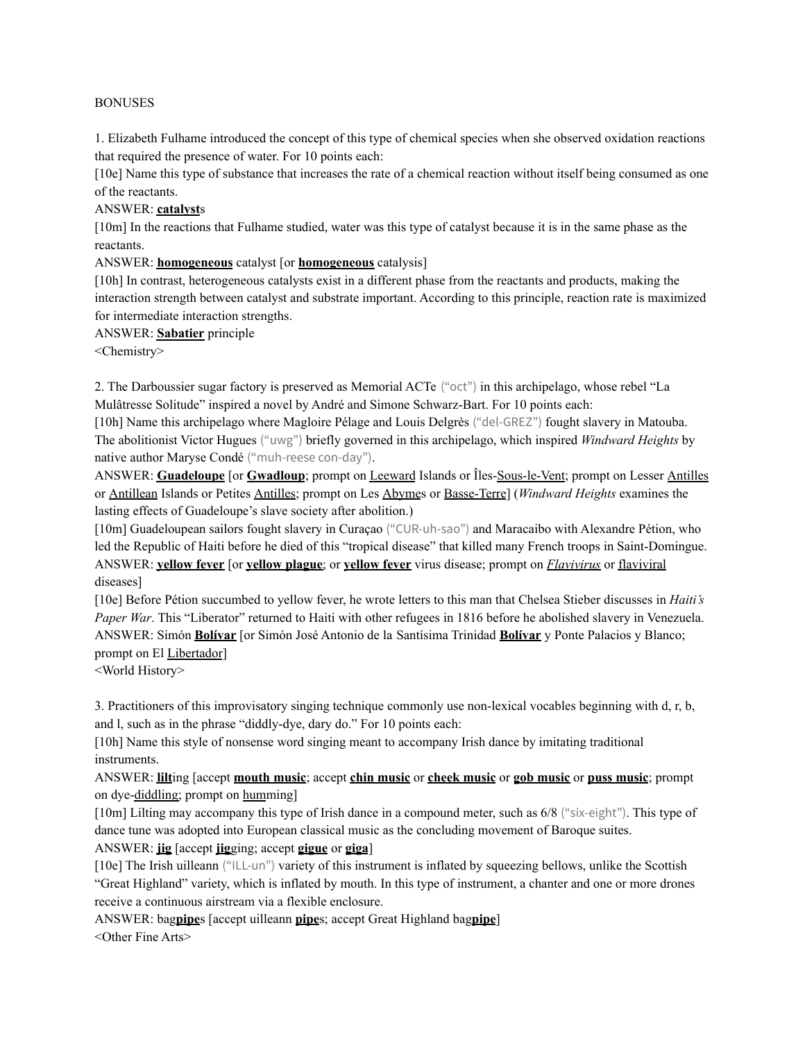#### BONUSES

1. Elizabeth Fulhame introduced the concept of this type of chemical species when she observed oxidation reactions that required the presence of water. For 10 points each:

[10e] Name this type of substance that increases the rate of a chemical reaction without itself being consumed as one of the reactants.

### ANSWER: **catalyst**s

[10m] In the reactions that Fulhame studied, water was this type of catalyst because it is in the same phase as the reactants.

### ANSWER: **homogeneous** catalyst [or **homogeneous** catalysis]

[10h] In contrast, heterogeneous catalysts exist in a different phase from the reactants and products, making the interaction strength between catalyst and substrate important. According to this principle, reaction rate is maximized for intermediate interaction strengths.

ANSWER: **Sabatier** principle

<Chemistry>

2. The Darboussier sugar factory is preserved as Memorial ACTe ("oct") in this archipelago, whose rebel "La Mulâtresse Solitude" inspired a novel by André and Simone Schwarz-Bart. For 10 points each:

[10h] Name this archipelago where Magloire Pélage and Louis Delgrès ("del-GREZ") fought slavery in Matouba. The abolitionist Victor Hugues ("uwg") briefly governed in this archipelago, which inspired *Windward Heights* by native author Maryse Condé ("muh-reese con-day").

ANSWER: **Guadeloupe** [or **Gwadloup**; prompt on Leeward Islands or Îles-Sous-le-Vent; prompt on Lesser Antilles or Antillean Islands or Petites Antilles; prompt on Les Abymes or Basse-Terre] (*Windward Heights* examines the lasting effects of Guadeloupe's slave society after abolition.)

[10m] Guadeloupean sailors fought slavery in Curaçao ("CUR-uh-sao") and Maracaibo with Alexandre Pétion, who led the Republic of Haiti before he died of this "tropical disease" that killed many French troops in Saint-Domingue. ANSWER: **yellow fever** [or **yellow plague**; or **yellow fever** virus disease; prompt on *Flavivirus* or flaviviral diseases]

[10e] Before Pétion succumbed to yellow fever, he wrote letters to this man that Chelsea Stieber discusses in *Haiti's Paper War*. This "Liberator" returned to Haiti with other refugees in 1816 before he abolished slavery in Venezuela. ANSWER: Simón **Bolívar** [or Simón José Antonio de la Santísima Trinidad **Bolívar** y Ponte Palacios y Blanco; prompt on El Libertador]

<World History>

3. Practitioners of this improvisatory singing technique commonly use non-lexical vocables beginning with d, r, b, and l, such as in the phrase "diddly-dye, dary do." For 10 points each:

[10h] Name this style of nonsense word singing meant to accompany Irish dance by imitating traditional instruments.

ANSWER: **lilt**ing [accept **mouth music**; accept **chin music** or **cheek music** or **gob music** or **puss music**; prompt on dye-diddling; prompt on humming]

[10m] Lilting may accompany this type of Irish dance in a compound meter, such as 6/8 ("six-eight"). This type of dance tune was adopted into European classical music as the concluding movement of Baroque suites.

### ANSWER: **jig** [accept **jig**ging; accept **gigue** or **giga**]

[10e] The Irish uilleann ("ILL-un") variety of this instrument is inflated by squeezing bellows, unlike the Scottish "Great Highland" variety, which is inflated by mouth. In this type of instrument, a chanter and one or more drones receive a continuous airstream via a flexible enclosure.

ANSWER: bag**pipe**s [accept uilleann **pipe**s; accept Great Highland bag**pipe**] <Other Fine Arts>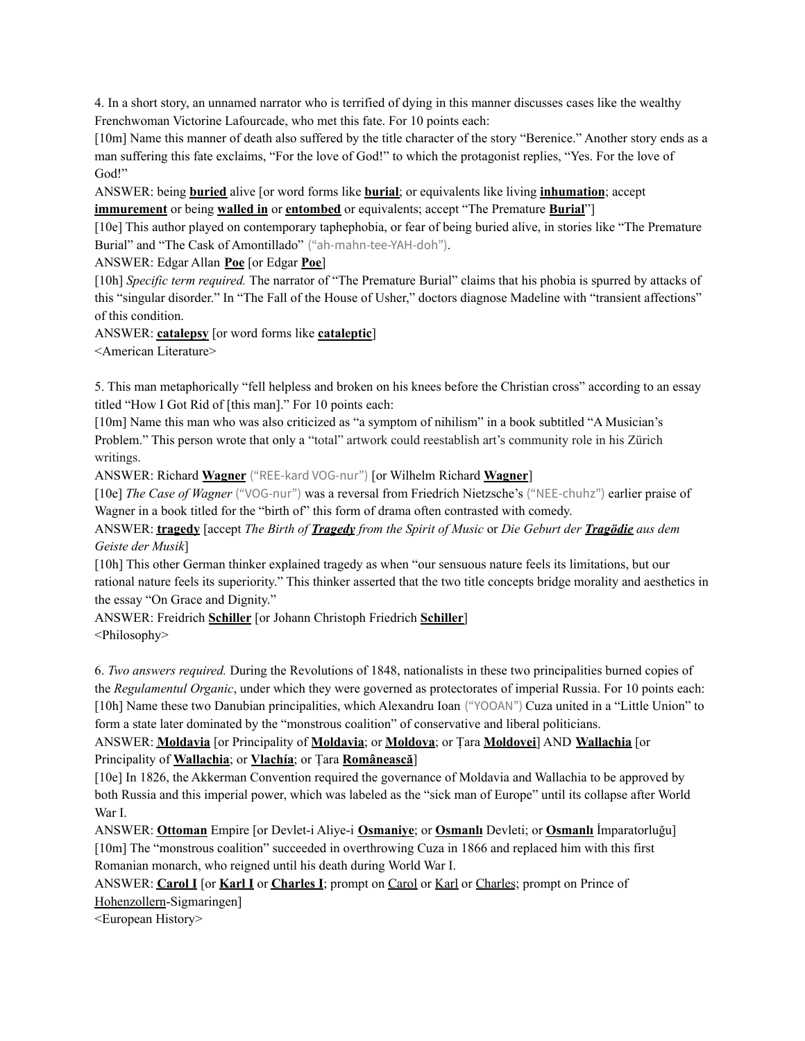4. In a short story, an unnamed narrator who is terrified of dying in this manner discusses cases like the wealthy Frenchwoman Victorine Lafourcade, who met this fate. For 10 points each:

[10m] Name this manner of death also suffered by the title character of the story "Berenice." Another story ends as a man suffering this fate exclaims, "For the love of God!" to which the protagonist replies, "Yes. For the love of God!"

ANSWER: being **buried** alive [or word forms like **burial**; or equivalents like living **inhumation**; accept **immurement** or being **walled in** or **entombed** or equivalents; accept "The Premature **Burial**"]

[10e] This author played on contemporary taphephobia, or fear of being buried alive, in stories like "The Premature Burial" and "The Cask of Amontillado" ("ah-mahn-tee-YAH-doh").

ANSWER: Edgar Allan **Poe** [or Edgar **Poe**]

[10h] *Specific term required.* The narrator of "The Premature Burial" claims that his phobia is spurred by attacks of this "singular disorder." In "The Fall of the House of Usher," doctors diagnose Madeline with "transient affections" of this condition.

ANSWER: **catalepsy** [or word forms like **cataleptic**]

<American Literature>

5. This man metaphorically "fell helpless and broken on his knees before the Christian cross" according to an essay titled "How I Got Rid of [this man]." For 10 points each:

[10m] Name this man who was also criticized as "a symptom of nihilism" in a book subtitled "A Musician's Problem." This person wrote that only a "total" artwork could reestablish art's community role in his Zürich writings.

ANSWER: Richard **Wagner** ("REE-kard VOG-nur") [or Wilhelm Richard **Wagner**]

[10e] *The Case of Wagner* ("VOG-nur") was a reversal from Friedrich Nietzsche's ("NEE-chuhz") earlier praise of Wagner in a book titled for the "birth of" this form of drama often contrasted with comedy.

ANSWER: **tragedy** [accept *The Birth of Tragedy from the Spirit of Music* or *Die Geburt der Tragödie aus dem Geiste der Musik*]

[10h] This other German thinker explained tragedy as when "our sensuous nature feels its limitations, but our rational nature feels its superiority." This thinker asserted that the two title concepts bridge morality and aesthetics in the essay "On Grace and Dignity."

ANSWER: Freidrich **Schiller** [or Johann Christoph Friedrich **Schiller**] <Philosophy>

6. *Two answers required.* During the Revolutions of 1848, nationalists in these two principalities burned copies of the *Regulamentul Organic*, under which they were governed as protectorates of imperial Russia. For 10 points each: [10h] Name these two Danubian principalities, which Alexandru Ioan ("YOOAN") Cuza united in a "Little Union" to form a state later dominated by the "monstrous coalition" of conservative and liberal politicians.

# ANSWER: **Moldavia** [or Principality of **Moldavia**; or **Moldova**; or Țara **Moldovei**] AND **Wallachia** [or Principality of **Wallachia**; or **Vlachía**; or Țara **Românească**]

[10e] In 1826, the Akkerman Convention required the governance of Moldavia and Wallachia to be approved by both Russia and this imperial power, which was labeled as the "sick man of Europe" until its collapse after World War I.

ANSWER: **Ottoman** Empire [or Devlet-i Aliye-i **Osmaniye**; or **Osmanlı** Devleti; or **Osmanlı** İmparatorluğu] [10m] The "monstrous coalition" succeeded in overthrowing Cuza in 1866 and replaced him with this first Romanian monarch, who reigned until his death during World War I.

ANSWER: **Carol I** [or **Karl I** or **Charles I**; prompt on Carol or Karl or Charles; prompt on Prince of Hohenzollern-Sigmaringen]

<European History>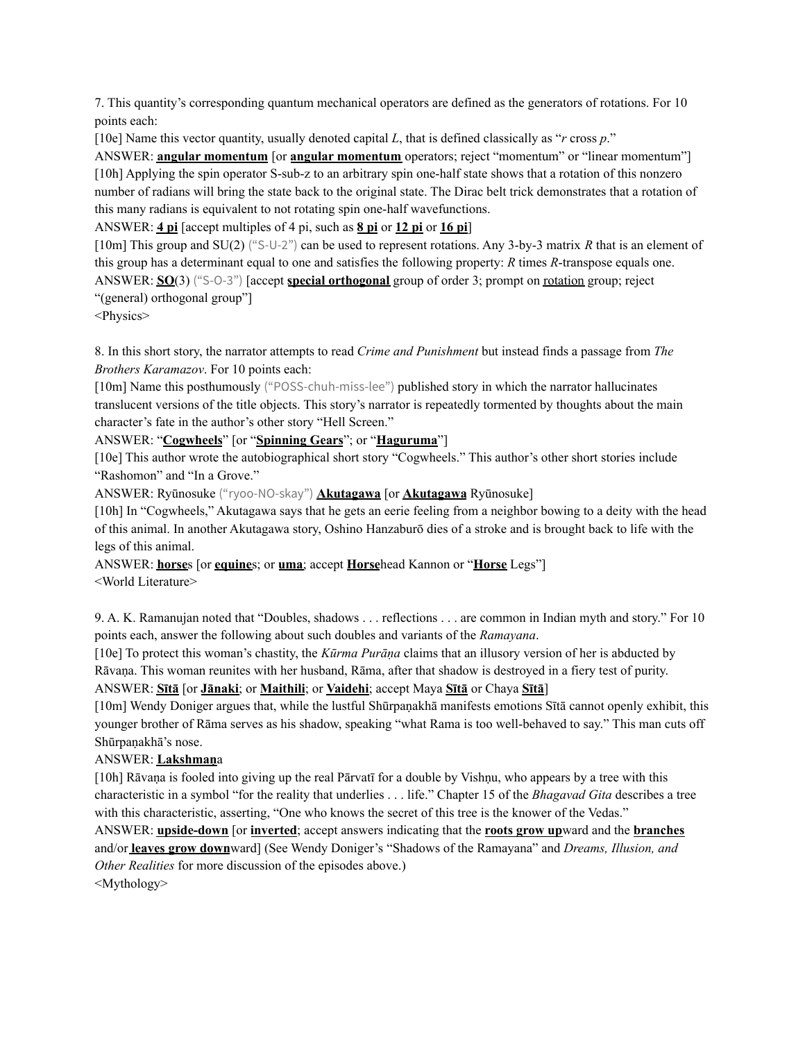7. This quantity's corresponding quantum mechanical operators are defined as the generators of rotations. For 10 points each:

[10e] Name this vector quantity, usually denoted capital *L*, that is defined classically as "*r* cross *p*."

ANSWER: **angular momentum** [or **angular momentum** operators; reject "momentum" or "linear momentum"] [10h] Applying the spin operator S-sub-z to an arbitrary spin one-half state shows that a rotation of this nonzero number of radians will bring the state back to the original state. The Dirac belt trick demonstrates that a rotation of this many radians is equivalent to not rotating spin one-half wavefunctions.

ANSWER: **4 pi** [accept multiples of 4 pi, such as **8 pi** or **12 pi** or **16 pi**]

[10m] This group and SU(2) ("S-U-2") can be used to represent rotations. Any 3-by-3 matrix *R* that is an element of this group has a determinant equal to one and satisfies the following property: *R* times *R*-transpose equals one. ANSWER: **SO**(3) ("S-O-3") [accept **special orthogonal** group of order 3; prompt on rotation group; reject "(general) orthogonal group"]

<Physics>

8. In this short story, the narrator attempts to read *Crime and Punishment* but instead finds a passage from *The Brothers Karamazov*. For 10 points each:

[10m] Name this posthumously ("POSS-chuh-miss-lee") published story in which the narrator hallucinates translucent versions of the title objects. This story's narrator is repeatedly tormented by thoughts about the main character's fate in the author's other story "Hell Screen."

ANSWER: "**Cogwheels**" [or "**Spinning Gears**"; or "**Haguruma**"]

[10e] This author wrote the autobiographical short story "Cogwheels." This author's other short stories include "Rashomon" and "In a Grove."

ANSWER: Ryūnosuke ("ryoo-NO-skay") **Akutagawa** [or **Akutagawa** Ryūnosuke]

[10h] In "Cogwheels," Akutagawa says that he gets an eerie feeling from a neighbor bowing to a deity with the head of this animal. In another Akutagawa story, Oshino Hanzaburō dies of a stroke and is brought back to life with the legs of this animal.

ANSWER: **horse**s [or **equine**s; or **uma**; accept **Horse**head Kannon or "**Horse** Legs"] <World Literature>

9. A. K. Ramanujan noted that "Doubles, shadows . . . reflections . . . are common in Indian myth and story." For 10 points each, answer the following about such doubles and variants of the *Ramayana*.

[10e] To protect this woman's chastity, the *Kūrma Purāṇa* claims that an illusory version of her is abducted by Rāvaṇa. This woman reunites with her husband, Rāma, after that shadow is destroyed in a fiery test of purity. ANSWER: **Sītā** [or **Jānaki**; or **Maithili**; or **Vaidehi**; accept Maya **Sītā** or Chaya **Sītā**]

[10m] Wendy Doniger argues that, while the lustful Shūrpaṇakhā manifests emotions Sītā cannot openly exhibit, this younger brother of Rāma serves as his shadow, speaking "what Rama is too well-behaved to say." This man cuts off Shūrpaṇakhā's nose.

## ANSWER: **Lakshmaṇ**a

[10h] Rāvana is fooled into giving up the real Pārvatī for a double by Vishnu, who appears by a tree with this characteristic in a symbol "for the reality that underlies . . . life." Chapter 15 of the *Bhagavad Gita* describes a tree with this characteristic, asserting, "One who knows the secret of this tree is the knower of the Vedas."

ANSWER: **upside-down** [or **inverted**; accept answers indicating that the **roots grow up**ward and the **branches** and/or **leaves grow down**ward] (See Wendy Doniger's "Shadows of the Ramayana" and *Dreams, Illusion, and Other Realities* for more discussion of the episodes above.)

<Mythology>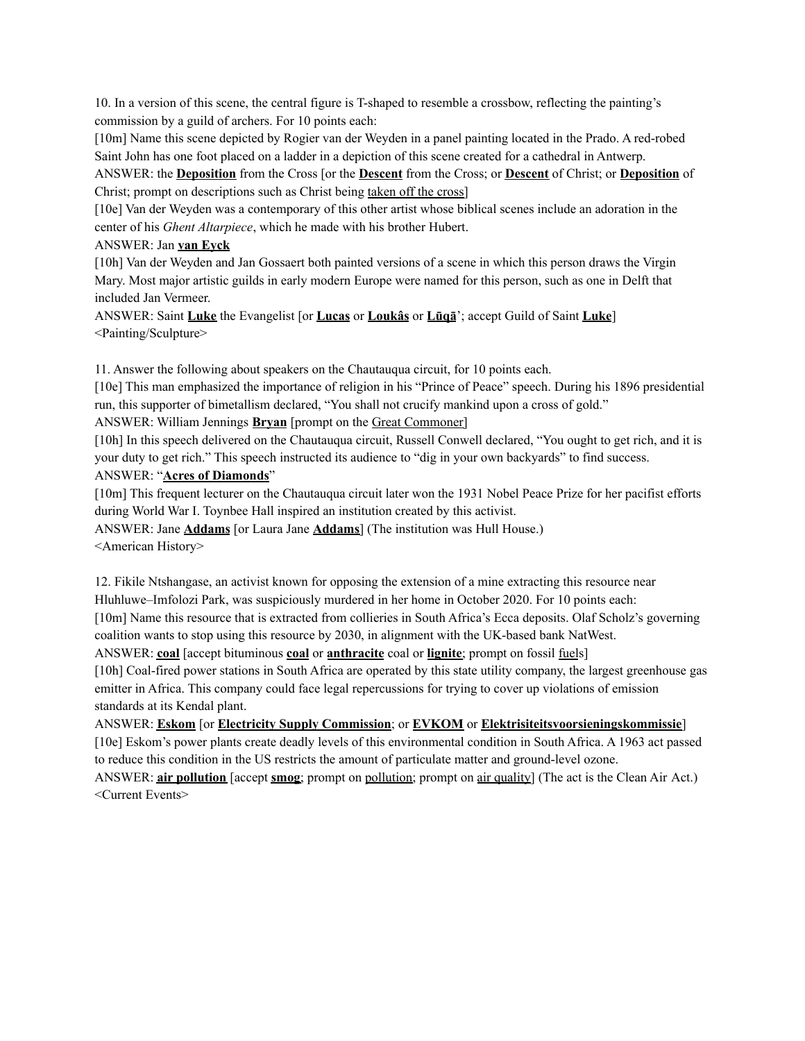10. In a version of this scene, the central figure is T-shaped to resemble a crossbow, reflecting the painting's commission by a guild of archers. For 10 points each:

[10m] Name this scene depicted by Rogier van der Weyden in a panel painting located in the Prado. A red-robed Saint John has one foot placed on a ladder in a depiction of this scene created for a cathedral in Antwerp.

ANSWER: the **Deposition** from the Cross [or the **Descent** from the Cross; or **Descent** of Christ; or **Deposition** of Christ; prompt on descriptions such as Christ being taken off the cross]

[10e] Van der Weyden was a contemporary of this other artist whose biblical scenes include an adoration in the center of his *Ghent Altarpiece*, which he made with his brother Hubert.

### ANSWER: Jan **van Eyck**

[10h] Van der Weyden and Jan Gossaert both painted versions of a scene in which this person draws the Virgin Mary. Most major artistic guilds in early modern Europe were named for this person, such as one in Delft that included Jan Vermeer.

ANSWER: Saint **Luke** the Evangelist [or **Lucas** or **Loukâs** or **Lūqā**'; accept Guild of Saint **Luke**] <Painting/Sculpture>

11. Answer the following about speakers on the Chautauqua circuit, for 10 points each.

[10e] This man emphasized the importance of religion in his "Prince of Peace" speech. During his 1896 presidential run, this supporter of bimetallism declared, "You shall not crucify mankind upon a cross of gold."

ANSWER: William Jennings **Bryan** [prompt on the Great Commoner]

[10h] In this speech delivered on the Chautauqua circuit, Russell Conwell declared, "You ought to get rich, and it is your duty to get rich." This speech instructed its audience to "dig in your own backyards" to find success. ANSWER: "**Acres of Diamonds**"

[10m] This frequent lecturer on the Chautauqua circuit later won the 1931 Nobel Peace Prize for her pacifist efforts during World War I. Toynbee Hall inspired an institution created by this activist.

ANSWER: Jane **Addams** [or Laura Jane **Addams**] (The institution was Hull House.) <American History>

12. Fikile Ntshangase, an activist known for opposing the extension of a mine extracting this resource near Hluhluwe–Imfolozi Park, was suspiciously murdered in her home in October 2020. For 10 points each:

[10m] Name this resource that is extracted from collieries in South Africa's Ecca deposits. Olaf Scholz's governing coalition wants to stop using this resource by 2030, in alignment with the UK-based bank NatWest.

ANSWER: **coal** [accept bituminous **coal** or **anthracite** coal or **lignite**; prompt on fossil fuels]

[10h] Coal-fired power stations in South Africa are operated by this state utility company, the largest greenhouse gas emitter in Africa. This company could face legal repercussions for trying to cover up violations of emission standards at its Kendal plant.

ANSWER: **Eskom** [or **Electricity Supply Commission**; or **EVKOM** or **Elektrisiteitsvoorsieningskommissie**]

[10e] Eskom's power plants create deadly levels of this environmental condition in South Africa. A 1963 act passed to reduce this condition in the US restricts the amount of particulate matter and ground-level ozone.

ANSWER: **air pollution** [accept **smog**; prompt on pollution; prompt on air quality] (The act is the Clean Air Act.) <Current Events>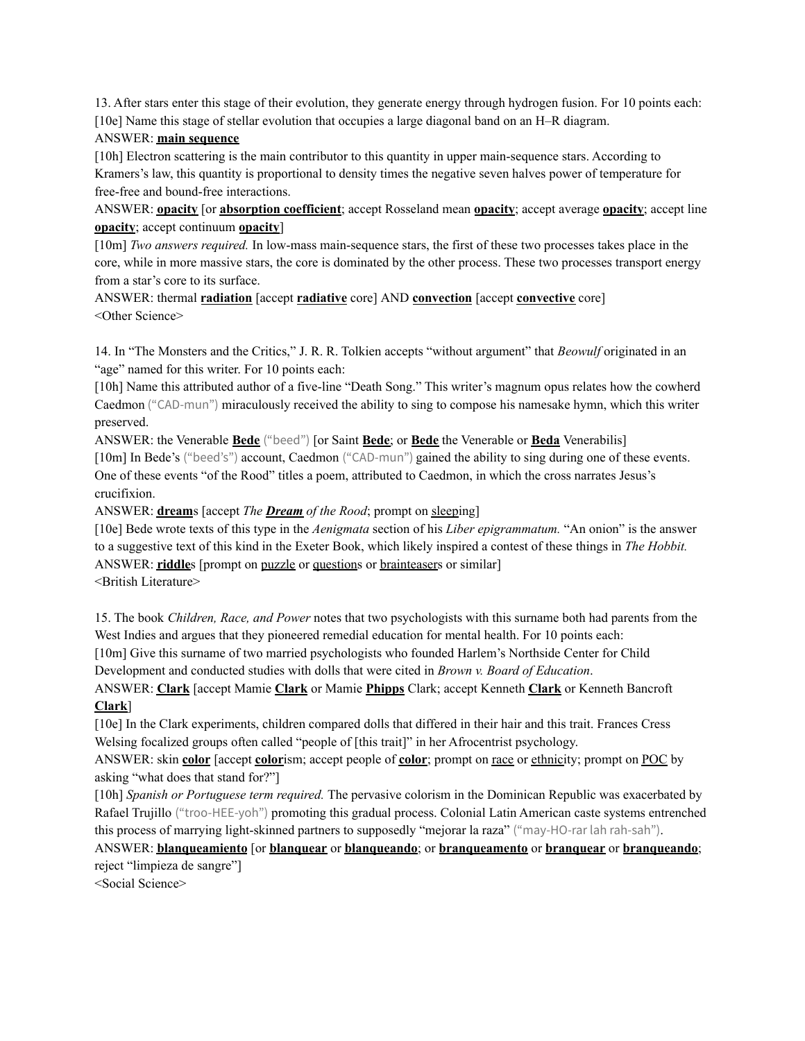13. After stars enter this stage of their evolution, they generate energy through hydrogen fusion. For 10 points each: [10e] Name this stage of stellar evolution that occupies a large diagonal band on an H–R diagram.

### ANSWER: **main sequence**

[10h] Electron scattering is the main contributor to this quantity in upper main-sequence stars. According to Kramers's law, this quantity is proportional to density times the negative seven halves power of temperature for free-free and bound-free interactions.

ANSWER: **opacity** [or **absorption coefficient**; accept Rosseland mean **opacity**; accept average **opacity**; accept line **opacity**; accept continuum **opacity**]

[10m] *Two answers required.* In low-mass main-sequence stars, the first of these two processes takes place in the core, while in more massive stars, the core is dominated by the other process. These two processes transport energy from a star's core to its surface.

ANSWER: thermal **radiation** [accept **radiative** core] AND **convection** [accept **convective** core] <Other Science>

14. In "The Monsters and the Critics," J. R. R. Tolkien accepts "without argument" that *Beowulf* originated in an "age" named for this writer. For 10 points each:

[10h] Name this attributed author of a five-line "Death Song." This writer's magnum opus relates how the cowherd Caedmon ("CAD-mun") miraculously received the ability to sing to compose his namesake hymn, which this writer preserved.

ANSWER: the Venerable **Bede** ("beed") [or Saint **Bede**; or **Bede** the Venerable or **Beda** Venerabilis]

[10m] In Bede's ("beed's") account, Caedmon ("CAD-mun") gained the ability to sing during one of these events. One of these events "of the Rood" titles a poem, attributed to Caedmon, in which the cross narrates Jesus's crucifixion.

ANSWER: **dream**s [accept *The Dream of the Rood*; prompt on sleeping]

[10e] Bede wrote texts of this type in the *Aenigmata* section of his *Liber epigrammatum.* "An onion" is the answer to a suggestive text of this kind in the Exeter Book, which likely inspired a contest of these things in *The Hobbit.* ANSWER: **riddle**s [prompt on puzzle or questions or brainteasers or similar] <British Literature>

15. The book *Children, Race, and Power* notes that two psychologists with this surname both had parents from the West Indies and argues that they pioneered remedial education for mental health. For 10 points each: [10m] Give this surname of two married psychologists who founded Harlem's Northside Center for Child

Development and conducted studies with dolls that were cited in *Brown v. Board of Education*.

ANSWER: **Clark** [accept Mamie **Clark** or Mamie **Phipps** Clark; accept Kenneth **Clark** or Kenneth Bancroft **Clark**]

[10e] In the Clark experiments, children compared dolls that differed in their hair and this trait. Frances Cress Welsing focalized groups often called "people of [this trait]" in her Afrocentrist psychology.

ANSWER: skin **color** [accept **color**ism; accept people of **color**; prompt on race or ethnicity; prompt on POC by asking "what does that stand for?"]

[10h] *Spanish or Portuguese term required.* The pervasive colorism in the Dominican Republic was exacerbated by Rafael Trujillo ("troo-HEE-yoh") promoting this gradual process. Colonial Latin American caste systems entrenched this process of marrying light-skinned partners to supposedly "mejorar la raza" ("may-HO-rar lah rah-sah").

ANSWER: **blanqueamiento** [or **blanquear** or **blanqueando**; or **branqueamento** or **branquear** or **branqueando**; reject "limpieza de sangre"]

<Social Science>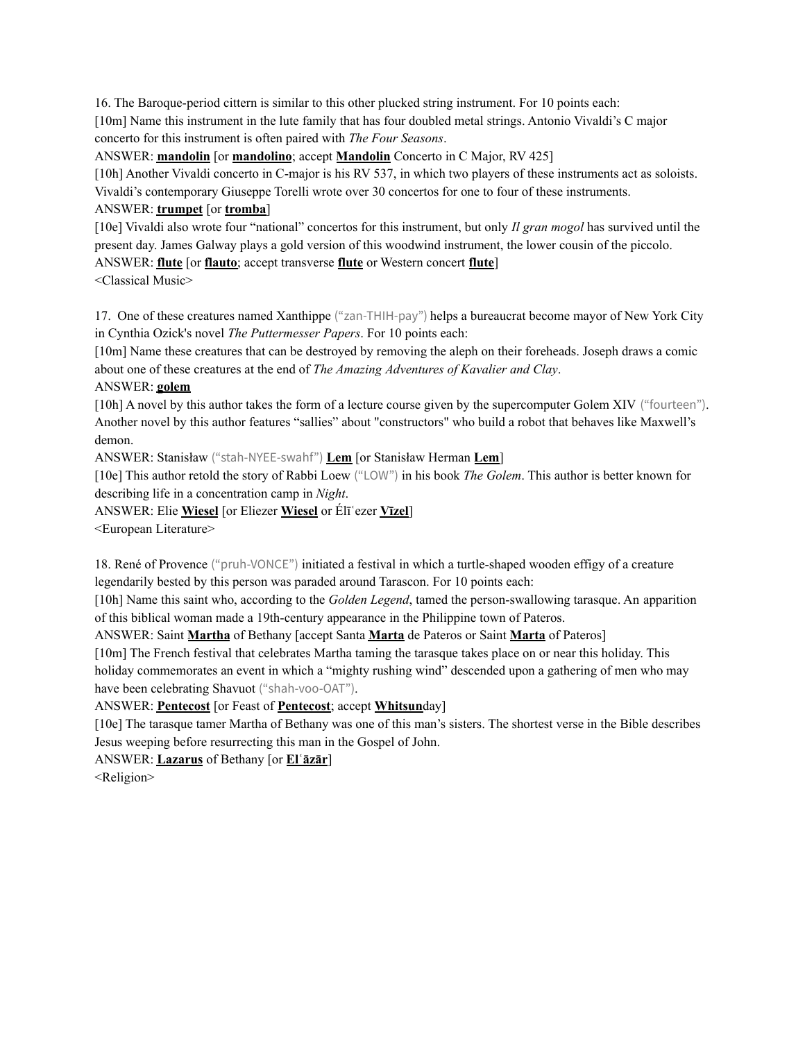16. The Baroque-period cittern is similar to this other plucked string instrument. For 10 points each: [10m] Name this instrument in the lute family that has four doubled metal strings. Antonio Vivaldi's C major concerto for this instrument is often paired with *The Four Seasons*.

ANSWER: **mandolin** [or **mandolino**; accept **Mandolin** Concerto in C Major, RV 425]

[10h] Another Vivaldi concerto in C-major is his RV 537, in which two players of these instruments act as soloists. Vivaldi's contemporary Giuseppe Torelli wrote over 30 concertos for one to four of these instruments.

# ANSWER: **trumpet** [or **tromba**]

[10e] Vivaldi also wrote four "national" concertos for this instrument, but only *Il gran mogol* has survived until the present day. James Galway plays a gold version of this woodwind instrument, the lower cousin of the piccolo. ANSWER: **flute** [or **flauto**; accept transverse **flute** or Western concert **flute**]

<Classical Music>

17. One of these creatures named Xanthippe ("zan-THIH-pay") helps a bureaucrat become mayor of New York City in Cynthia Ozick's novel *The Puttermesser Papers*. For 10 points each:

[10m] Name these creatures that can be destroyed by removing the aleph on their foreheads. Joseph draws a comic about one of these creatures at the end of *The Amazing Adventures of Kavalier and Clay*.

## ANSWER: **golem**

[10h] A novel by this author takes the form of a lecture course given by the supercomputer Golem XIV ("fourteen"). Another novel by this author features "sallies" about "constructors" who build a robot that behaves like Maxwell's demon.

ANSWER: Stanisław ("stah-NYEE-swahf") **Lem** [or Stanisław Herman **Lem**]

[10e] This author retold the story of Rabbi Loew ("LOW") in his book *The Golem*. This author is better known for describing life in a concentration camp in *Night*.

ANSWER: Elie **Wiesel** [or Eliezer **Wiesel** or Élīʿezer **Vīzel**]

<European Literature>

18. René of Provence ("pruh-VONCE") initiated a festival in which a turtle-shaped wooden effigy of a creature legendarily bested by this person was paraded around Tarascon. For 10 points each:

[10h] Name this saint who, according to the *Golden Legend*, tamed the person-swallowing tarasque. An apparition of this biblical woman made a 19th-century appearance in the Philippine town of Pateros.

ANSWER: Saint **Martha** of Bethany [accept Santa **Marta** de Pateros or Saint **Marta** of Pateros]

[10m] The French festival that celebrates Martha taming the tarasque takes place on or near this holiday. This holiday commemorates an event in which a "mighty rushing wind" descended upon a gathering of men who may have been celebrating Shavuot ("shah-voo-OAT").

ANSWER: **Pentecost** [or Feast of **Pentecost**; accept **Whitsun**day]

[10e] The tarasque tamer Martha of Bethany was one of this man's sisters. The shortest verse in the Bible describes Jesus weeping before resurrecting this man in the Gospel of John.

ANSWER: **Lazarus** of Bethany [or **Elʿāzār**]

<Religion>